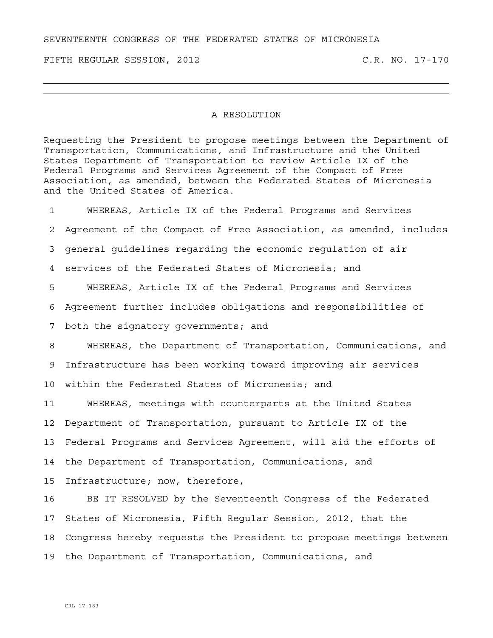SEVENTEENTH CONGRESS OF THE FEDERATED STATES OF MICRONESIA

FIFTH REGULAR SESSION, 2012 C.R. NO. 17-170

## A RESOLUTION

Requesting the President to propose meetings between the Department of Transportation, Communications, and Infrastructure and the United States Department of Transportation to review Article IX of the Federal Programs and Services Agreement of the Compact of Free Association, as amended, between the Federated States of Micronesia and the United States of America.

1 WHEREAS, Article IX of the Federal Programs and Services 2 Agreement of the Compact of Free Association, as amended, includes 3 general guidelines regarding the economic regulation of air 4 services of the Federated States of Micronesia; and 5 WHEREAS, Article IX of the Federal Programs and Services 6 Agreement further includes obligations and responsibilities of 7 both the signatory governments; and 8 WHEREAS, the Department of Transportation, Communications, and 9 Infrastructure has been working toward improving air services 10 within the Federated States of Micronesia; and 11 WHEREAS, meetings with counterparts at the United States 12 Department of Transportation, pursuant to Article IX of the 13 Federal Programs and Services Agreement, will aid the efforts of 14 the Department of Transportation, Communications, and 15 Infrastructure; now, therefore, 16 BE IT RESOLVED by the Seventeenth Congress of the Federated

17 States of Micronesia, Fifth Regular Session, 2012, that the 18 Congress hereby requests the President to propose meetings between 19 the Department of Transportation, Communications, and